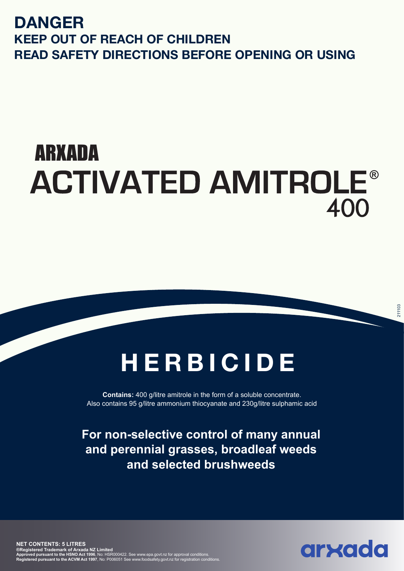### **DANGER KEEP OUT OF REACH OF CHILDREN READ SAFETY DIRECTIONS BEFORE OPENING OR USING**

# ARXADA **ACTIVATED AMITROLE®** 400

## **HERBICIDE**

**Contains:** 400 g/litre amitrole in the form of a soluble concentrate. Also contains 95 g/litre ammonium thiocyanate and 230g/litre sulphamic acid

**For broadleaf weed control in pasture, clover seed crops, Luce and the set of the set of the set of the set of the set of the set of the set of the set of the set of th For non-selective control of many annual and perennial grasses, broadleaf weeds and selected brushweeds**